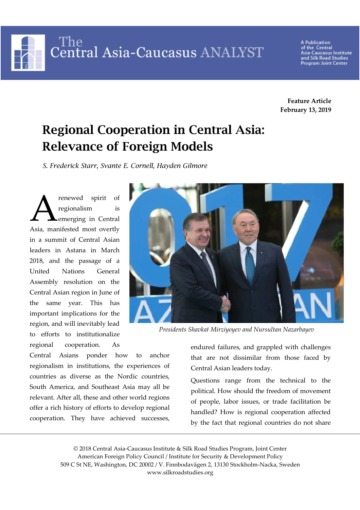The Central Asia-Caucasus ANALYST

**A Publication** of the Central<br>Asia-Caucasus Institute and Silk Road Studies Program Joint Center

**Feature Article February 13, 2019** 

# **Regional Cooperation in Central Asia: Relevance of Foreign Models**

*S. Frederick Starr, Svante E. Cornell, Hayden Gilmore* 

renewed spirit of regionalism is emerging in Central Asia, manifested most overtly in a summit of Central Asian leaders in Astana in March 2018, and the passage of a United Nations General Assembly resolution on the Central Asian region in June of the same year. This has important implications for the region, and will inevitably lead to efforts to institutionalize regional cooperation. As A



*Presidents Shavkat Mirziyoyev and Nursultan Nazarbayev* 

Central Asians ponder how to anchor regionalism in institutions, the experiences of countries as diverse as the Nordic countries, South America, and Southeast Asia may all be relevant. After all, these and other world regions offer a rich history of efforts to develop regional cooperation. They have achieved successes,

endured failures, and grappled with challenges that are not dissimilar from those faced by Central Asian leaders today.

Questions range from the technical to the political. How should the freedom of movement of people, labor issues, or trade facilitation be handled? How is regional cooperation affected by the fact that regional countries do not share

© 2018 Central Asia-Caucasus Institute & Silk Road Studies Program, Joint Center American Foreign Policy Council / Institute for Security & Development Policy 509 C St NE, Washington, DC 20002 / V. Finnbodavägen 2, 13130 Stockholm-Nacka, Sweden www.silkroadstudies.org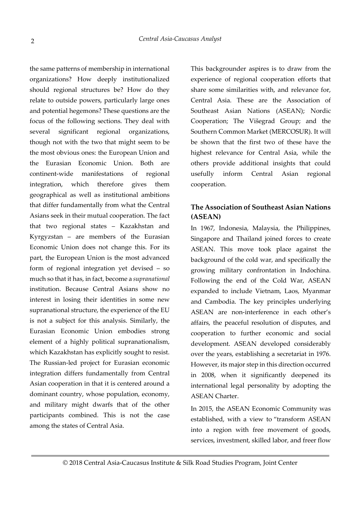the same patterns of membership in international organizations? How deeply institutionalized should regional structures be? How do they relate to outside powers, particularly large ones and potential hegemons? These questions are the focus of the following sections. They deal with several significant regional organizations, though not with the two that might seem to be the most obvious ones: the European Union and the Eurasian Economic Union. Both are continent-wide manifestations of regional integration, which therefore gives them geographical as well as institutional ambitions that differ fundamentally from what the Central Asians seek in their mutual cooperation. The fact that two regional states – Kazakhstan and Kyrgyzstan – are members of the Eurasian Economic Union does not change this. For its part, the European Union is the most advanced form of regional integration yet devised – so much so that it has, in fact, become a *supranational* institution. Because Central Asians show no interest in losing their identities in some new supranational structure, the experience of the EU is not a subject for this analysis. Similarly, the Eurasian Economic Union embodies strong element of a highly political supranationalism, which Kazakhstan has explicitly sought to resist. The Russian-led project for Eurasian economic integration differs fundamentally from Central Asian cooperation in that it is centered around a dominant country, whose population, economy, and military might dwarfs that of the other participants combined. This is not the case among the states of Central Asia.

This backgrounder aspires is to draw from the experience of regional cooperation efforts that share some similarities with, and relevance for, Central Asia. These are the Association of Southeast Asian Nations (ASEAN); Nordic Cooperation; The Višegrad Group; and the Southern Common Market (MERCOSUR). It will be shown that the first two of these have the highest relevance for Central Asia, while the others provide additional insights that could usefully inform Central Asian regional cooperation.

# **The Association of Southeast Asian Nations (ASEAN)**

In 1967, Indonesia, Malaysia, the Philippines, Singapore and Thailand joined forces to create ASEAN. This move took place against the background of the cold war, and specifically the growing military confrontation in Indochina. Following the end of the Cold War, ASEAN expanded to include Vietnam, Laos, Myanmar and Cambodia. The key principles underlying ASEAN are non-interference in each other's affairs, the peaceful resolution of disputes, and cooperation to further economic and social development. ASEAN developed considerably over the years, establishing a secretariat in 1976. However, its major step in this direction occurred in 2008, when it significantly deepened its international legal personality by adopting the ASEAN Charter.

In 2015, the ASEAN Economic Community was established, with a view to "transform ASEAN into a region with free movement of goods, services, investment, skilled labor, and freer flow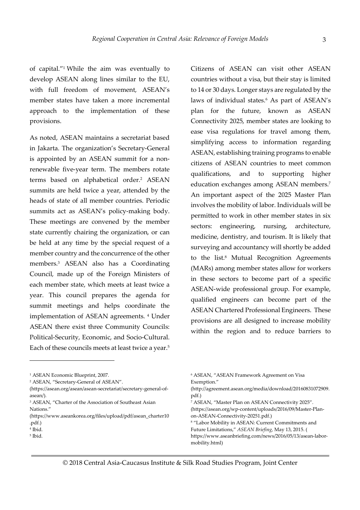of capital."<sup>1</sup> While the aim was eventually to develop ASEAN along lines similar to the EU, with full freedom of movement, ASEAN's member states have taken a more incremental approach to the implementation of these provisions.

As noted, ASEAN maintains a secretariat based in Jakarta. The organization's Secretary-General is appointed by an ASEAN summit for a nonrenewable five-year term. The members rotate terms based on alphabetical order.<sup>2</sup> ASEAN summits are held twice a year, attended by the heads of state of all member countries. Periodic summits act as ASEAN's policy-making body. These meetings are convened by the member state currently chairing the organization, or can be held at any time by the special request of a member country and the concurrence of the other members.<sup>3</sup> ASEAN also has a Coordinating Council, made up of the Foreign Ministers of each member state, which meets at least twice a year. This council prepares the agenda for summit meetings and helps coordinate the implementation of ASEAN agreements. <sup>4</sup> Under ASEAN there exist three Community Councils: Political-Security, Economic, and Socio-Cultural. Each of these councils meets at least twice a year.<sup>5</sup>

-

Citizens of ASEAN can visit other ASEAN countries without a visa, but their stay is limited to 14 or 30 days. Longer stays are regulated by the laws of individual states.<sup>6</sup> As part of ASEAN's plan for the future, known as ASEAN Connectivity 2025, member states are looking to ease visa regulations for travel among them, simplifying access to information regarding ASEAN, establishing training programs to enable citizens of ASEAN countries to meet common qualifications, and to supporting higher education exchanges among ASEAN members.<sup>7</sup> An important aspect of the 2025 Master Plan involves the mobility of labor. Individuals will be permitted to work in other member states in six sectors: engineering, nursing, architecture, medicine, dentistry, and tourism. It is likely that surveying and accountancy will shortly be added to the list.<sup>8</sup> Mutual Recognition Agreements (MARs) among member states allow for workers in these sectors to become part of a specific ASEAN-wide professional group. For example, qualified engineers can become part of the ASEAN Chartered Professional Engineers. These provisions are all designed to increase mobility within the region and to reduce barriers to

<sup>1</sup> ASEAN Economic Blueprint, 2007.

<sup>2</sup> ASEAN, "Secretary-General of ASEAN".

<sup>(</sup>https://asean.org/asean/asean-secretariat/secretary-general-ofasean/)*.* 

<sup>3</sup> ASEAN, "Charter of the Association of Southeast Asian Nations."

<sup>(</sup>https://www.aseankorea.org/files/upload/pdf/asean\_charter10 .pdf.)

<sup>4</sup> Ibid.

<sup>5</sup> Ibid.

<sup>6</sup> ASEAN, "ASEAN Framework Agreement on Visa Exemption."

<sup>(</sup>http://agreement.asean.org/media/download/20160831072909. pdf.)

<sup>7</sup> ASEAN, "Master Plan on ASEAN Connectivity 2025". (https://asean.org/wp-content/uploads/2016/09/Master-Planon-ASEAN-Connectivity-20251.pdf.)

<sup>8</sup> "Labor Mobility in ASEAN: Current Commitments and Future Limitations," *ASEAN Briefing,* May 13, 2015. ( https://www.aseanbriefing.com/news/2016/05/13/asean-labormobility.html)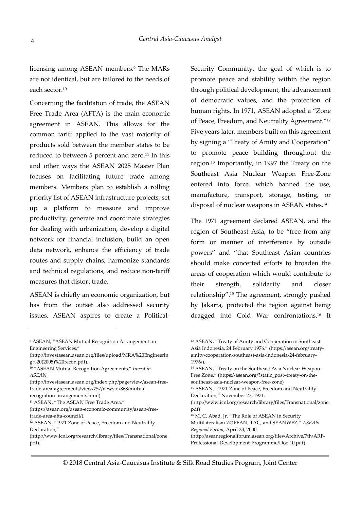licensing among ASEAN members.<sup>9</sup> The MARs are not identical, but are tailored to the needs of each sector.<sup>10</sup>

Concerning the facilitation of trade, the ASEAN Free Trade Area (AFTA) is the main economic agreement in ASEAN. This allows for the common tariff applied to the vast majority of products sold between the member states to be reduced to between 5 percent and zero.<sup>11</sup> In this and other ways the ASEAN 2025 Master Plan focuses on facilitating future trade among members. Members plan to establish a rolling priority list of ASEAN infrastructure projects, set up a platform to measure and improve productivity, generate and coordinate strategies for dealing with urbanization, develop a digital network for financial inclusion, build an open data network, enhance the efficiency of trade routes and supply chains, harmonize standards and technical regulations, and reduce non-tariff measures that distort trade.

ASEAN is chiefly an economic organization, but has from the outset also addressed security issues. ASEAN aspires to create a Political-

9 ASEAN, "ASEAN Mutual Recognition Arrangement on Engineering Services,"

<sup>10</sup> "ASEAN Mutual Recognition Agreements," *Invest in ASEAN,* 

(http://investasean.asean.org/index.php/page/view/asean-freetrade-area-agreements/view/757/newsid/868/mutualrecognition-arrangements.html)

<sup>11</sup> ASEAN, "The ASEAN Free Trade Area,"

1

(https://asean.org/asean-economic-community/asean-freetrade-area-afta-council/)*.* 

- <sup>12</sup> ASEAN, "1971 Zone of Peace, Freedom and Neutrality Declaration,"
- (http://www.icnl.org/research/library/files/Transnational/zone. pdf)*.*

Security Community, the goal of which is to promote peace and stability within the region through political development, the advancement of democratic values, and the protection of human rights. In 1971, ASEAN adopted a "Zone of Peace, Freedom, and Neutrality Agreement."<sup>12</sup> Five years later, members built on this agreement by signing a "Treaty of Amity and Cooperation" to promote peace building throughout the region.13 Importantly, in 1997 the Treaty on the Southeast Asia Nuclear Weapon Free-Zone entered into force, which banned the use, manufacture, transport, storage, testing, or disposal of nuclear weapons in ASEAN states.<sup>14</sup>

The 1971 agreement declared ASEAN, and the region of Southeast Asia, to be "free from any form or manner of interference by outside powers" and "that Southeast Asian countries should make concerted efforts to broaden the areas of cooperation which would contribute to their strength, solidarity and closer relationship".15 The agreement, strongly pushed by Jakarta, protected the region against being dragged into Cold War confrontations.16 It

- (http://www.icnl.org/research/library/files/Transnational/zone. pdf)
- <sup>16</sup> M. C. Abad, Jr. "The Role of ASEAN in Security Multilateralism ZOPFAN, TAC, and SEANWFZ," *ASEAN Regional Forum,* April 23, 2000.

(http://aseanregionalforum.asean.org/files/Archive/7th/ARF-Professional-Development-Programme/Doc-10.pdf).

<sup>(</sup>http://investasean.asean.org/files/upload/MRA%20Engineerin g%20(2005)%20recon.pdf)*.*

<sup>13</sup> ASEAN, "Treaty of Amity and Cooperation in Southeast Asia Indonesia, 24 February 1976." (https://asean.org/treatyamity-cooperation-southeast-asia-indonesia-24-february-1976/)*.*  14 ASEAN, "Treaty on the Southeast Asia Nuclear Weapon-Free Zone." (https://asean.org/?static\_post=treaty-on-thesoutheast-asia-nuclear-weapon-free-zone) <sup>15</sup> ASEAN, "1971 Zone of Peace, Freedom and Neutrality Declaration," November 27, 1971.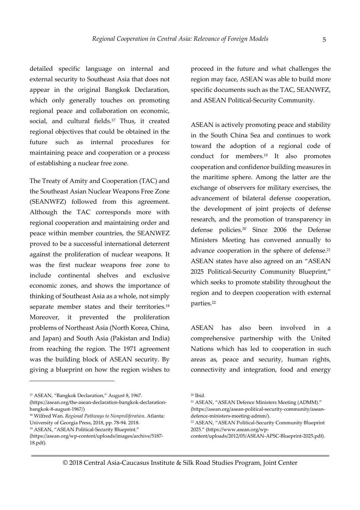detailed specific language on internal and external security to Southeast Asia that does not appear in the original Bangkok Declaration, which only generally touches on promoting regional peace and collaboration on economic, social, and cultural fields.17 Thus, it created regional objectives that could be obtained in the future such as internal procedures for maintaining peace and cooperation or a process of establishing a nuclear free zone.

The Treaty of Amity and Cooperation (TAC) and the Southeast Asian Nuclear Weapons Free Zone (SEANWFZ) followed from this agreement. Although the TAC corresponds more with regional cooperation and maintaining order and peace within member countries, the SEANWFZ proved to be a successful international deterrent against the proliferation of nuclear weapons. It was the first nuclear weapons free zone to include continental shelves and exclusive economic zones, and shows the importance of thinking of Southeast Asia as a whole, not simply separate member states and their territories.<sup>18</sup> Moreover, it prevented the proliferation problems of Northeast Asia (North Korea, China, and Japan) and South Asia (Pakistan and India) from reaching the region. The 1971 agreement was the building block of ASEAN security. By giving a blueprint on how the region wishes to

<sup>17</sup> ASEAN, "Bangkok Declaration," August 8, 1967.

<u>.</u>

<sup>18</sup> Wilfred Wan. *Regional Pathways to Nonproliferation*. Atlanta: University of Georgia Press, 2018, pp. 78-94. 2018.

proceed in the future and what challenges the region may face, ASEAN was able to build more specific documents such as the TAC, SEANWFZ, and ASEAN Political-Security Community.

ASEAN is actively promoting peace and stability in the South China Sea and continues to work toward the adoption of a regional code of conduct for members.19 It also promotes cooperation and confidence building measures in the maritime sphere. Among the latter are the exchange of observers for military exercises, the advancement of bilateral defense cooperation, the development of joint projects of defense research, and the promotion of transparency in defense policies.20 Since 2006 the Defense Ministers Meeting has convened annually to advance cooperation in the sphere of defense.<sup>21</sup> ASEAN states have also agreed on an "ASEAN 2025 Political-Security Community Blueprint," which seeks to promote stability throughout the region and to deepen cooperation with external parties.<sup>22</sup>

ASEAN has also been involved in a comprehensive partnership with the United Nations which has led to cooperation in such areas as, peace and security, human rights, connectivity and integration, food and energy

<sup>(</sup>https://asean.org/the-asean-declaration-bangkok-declarationbangkok-8-august-1967/)

<sup>19</sup> ASEAN, "ASEAN Political-Security Blueprint."

<sup>(</sup>https://asean.org/wp-content/uploads/images/archive/5187- 18.pdf)*.* 

<sup>20</sup> Ibid.

<sup>21</sup> ASEAN, "ASEAN Defence Ministers Meeting (ADMM)."

<sup>(</sup>https://asean.org/asean-political-security-community/aseandefence-ministers-meeting-admm/)*.* 

<sup>22</sup> ASEAN, "ASEAN Political-Security Community Blueprint 2025." (https://www.asean.org/wp-

content/uploads/2012/05/ASEAN-APSC-Blueprint-2025.pdf)*.*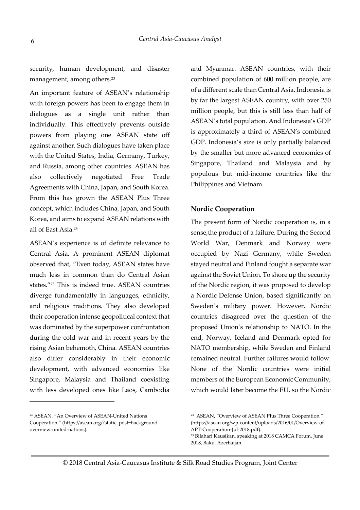security, human development, and disaster management, among others.<sup>23</sup>

An important feature of ASEAN's relationship with foreign powers has been to engage them in dialogues as a single unit rather than individually. This effectively prevents outside powers from playing one ASEAN state off against another. Such dialogues have taken place with the United States, India, Germany, Turkey, and Russia, among other countries. ASEAN has also collectively negotiated Free Trade Agreements with China, Japan, and South Korea. From this has grown the ASEAN Plus Three concept, which includes China, Japan, and South Korea, and aims to expand ASEAN relations with all of East Asia.<sup>24</sup>

ASEAN's experience is of definite relevance to Central Asia. A prominent ASEAN diplomat observed that, "Even today, ASEAN states have much less in common than do Central Asian states."25 This is indeed true. ASEAN countries diverge fundamentally in languages, ethnicity, and religious traditions. They also developed their cooperation intense geopolitical context that was dominated by the superpower confrontation during the cold war and in recent years by the rising Asian behemoth, China. ASEAN countries also differ considerably in their economic development, with advanced economies like Singapore, Malaysia and Thailand coexisting with less developed ones like Laos, Cambodia

<u>.</u>

and Myanmar. ASEAN countries, with their combined population of 600 million people, are of a different scale than Central Asia. Indonesia is by far the largest ASEAN country, with over 250 million people, but this is still less than half of ASEAN's total population. And Indonesia's GDP is approximately a third of ASEAN's combined GDP. Indonesia's size is only partially balanced by the smaller but more advanced economies of Singapore, Thailand and Malaysia and by populous but mid-income countries like the Philippines and Vietnam.

#### **Nordic Cooperation**

The present form of Nordic cooperation is, in a sense,the product of a failure. During the Second World War, Denmark and Norway were occupied by Nazi Germany, while Sweden stayed neutral and Finland fought a separate war against the Soviet Union. To shore up the security of the Nordic region, it was proposed to develop a Nordic Defense Union, based significantly on Sweden's military power. However, Nordic countries disagreed over the question of the proposed Union's relationship to NATO. In the end, Norway, Iceland and Denmark opted for NATO membership, while Sweden and Finland remained neutral. Further failures would follow. None of the Nordic countries were initial members of the European Economic Community, which would later become the EU, so the Nordic

<sup>23</sup> ASEAN, "An Overview of ASEAN-United Nations Cooperation." (https://asean.org/?static\_post=backgroundoverview-united-nations)*.* 

<sup>24</sup> ASEAN, "Overview of ASEAN Plus Three Cooperation." (https://asean.org/wp-content/uploads/2016/01/Overview-of-APT-Cooperation-Jul-2018.pdf)*.* 

<sup>25</sup> Bilahari Kausikan, speaking at 2018 CAMCA Forum, June 2018, Baku, Azerbaijan.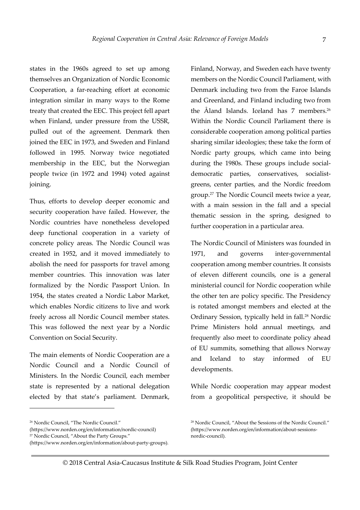states in the 1960s agreed to set up among themselves an Organization of Nordic Economic Cooperation, a far-reaching effort at economic integration similar in many ways to the Rome treaty that created the EEC. This project fell apart when Finland, under pressure from the USSR, pulled out of the agreement. Denmark then joined the EEC in 1973, and Sweden and Finland followed in 1995. Norway twice negotiated membership in the EEC, but the Norwegian people twice (in 1972 and 1994) voted against joining.

Thus, efforts to develop deeper economic and security cooperation have failed. However, the Nordic countries have nonetheless developed deep functional cooperation in a variety of concrete policy areas. The Nordic Council was created in 1952, and it moved immediately to abolish the need for passports for travel among member countries. This innovation was later formalized by the Nordic Passport Union. In 1954, the states created a Nordic Labor Market, which enables Nordic citizens to live and work freely across all Nordic Council member states. This was followed the next year by a Nordic Convention on Social Security.

The main elements of Nordic Cooperation are a Nordic Council and a Nordic Council of Ministers. In the Nordic Council, each member state is represented by a national delegation elected by that state's parliament. Denmark,

<u>.</u>

Finland, Norway, and Sweden each have twenty members on the Nordic Council Parliament, with Denmark including two from the Faroe Islands and Greenland, and Finland including two from the Åland Islands. Iceland has 7 members.<sup>26</sup> Within the Nordic Council Parliament there is considerable cooperation among political parties sharing similar ideologies; these take the form of Nordic party groups, which came into being during the 1980s. These groups include socialdemocratic parties, conservatives, socialistgreens, center parties, and the Nordic freedom group.27 The Nordic Council meets twice a year, with a main session in the fall and a special thematic session in the spring, designed to further cooperation in a particular area.

The Nordic Council of Ministers was founded in 1971, and governs inter-governmental cooperation among member countries. It consists of eleven different councils, one is a general ministerial council for Nordic cooperation while the other ten are policy specific. The Presidency is rotated amongst members and elected at the Ordinary Session, typically held in fall.28 Nordic Prime Ministers hold annual meetings, and frequently also meet to coordinate policy ahead of EU summits, something that allows Norway and Iceland to stay informed of EU developments.

While Nordic cooperation may appear modest from a geopolitical perspective, it should be

© 2018 Central Asia-Caucasus Institute & Silk Road Studies Program, Joint Center

<sup>26</sup> Nordic Council, "The Nordic Council."

<sup>(</sup>https://www.norden.org/en/information/nordic-council)

<sup>27</sup> Nordic Council, "About the Party Groups."

<sup>(</sup>https://www.norden.org/en/information/about-party-groups)*.* 

<sup>&</sup>lt;sup>28</sup> Nordic Council, "About the Sessions of the Nordic Council." (https://www.norden.org/en/information/about-sessionsnordic-council).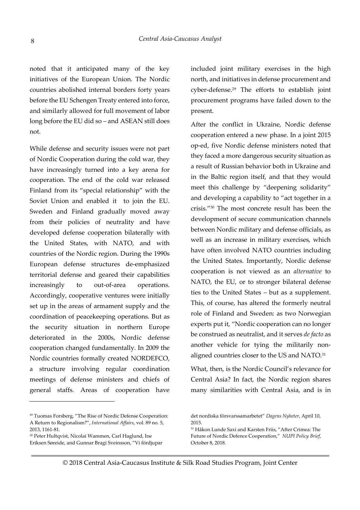noted that it anticipated many of the key initiatives of the European Union. The Nordic countries abolished internal borders forty years before the EU Schengen Treaty entered into force, and similarly allowed for full movement of labor long before the EU did so – and ASEAN still does not.

While defense and security issues were not part of Nordic Cooperation during the cold war, they have increasingly turned into a key arena for cooperation. The end of the cold war released Finland from its "special relationship" with the Soviet Union and enabled it to join the EU. Sweden and Finland gradually moved away from their policies of neutrality and have developed defense cooperation bilaterally with the United States, with NATO, and with countries of the Nordic region. During the 1990s European defense structures de-emphasized territorial defense and geared their capabilities increasingly to out-of-area operations. Accordingly, cooperative ventures were initially set up in the areas of armament supply and the coordination of peacekeeping operations. But as the security situation in northern Europe deteriorated in the 2000s, Nordic defense cooperation changed fundamentally. In 2009 the Nordic countries formally created NORDEFCO, a structure involving regular coordination meetings of defense ministers and chiefs of general staffs. Areas of cooperation have

<u>.</u>

included joint military exercises in the high north, and initiatives in defense procurement and cyber-defense.29 The efforts to establish joint procurement programs have failed down to the present.

After the conflict in Ukraine, Nordic defense cooperation entered a new phase. In a joint 2015 op-ed, five Nordic defense ministers noted that they faced a more dangerous security situation as a result of Russian behavior both in Ukraine and in the Baltic region itself, and that they would meet this challenge by "deepening solidarity" and developing a capability to "act together in a crisis."30 The most concrete result has been the development of secure communication channels between Nordic military and defense officials, as well as an increase in military exercises, which have often involved NATO countries including the United States. Importantly, Nordic defense cooperation is not viewed as an *alternative* to NATO, the EU, or to stronger bilateral defense ties to the United States – but as a supplement. This, of course, has altered the formerly neutral role of Finland and Sweden: as two Norwegian experts put it, "Nordic cooperation can no longer be construed as neutralist, and it serves *de facto* as another vehicle for tying the militarily nonaligned countries closer to the US and NATO.<sup>31</sup>

What, then, is the Nordic Council's relevance for Central Asia? In fact, the Nordic region shares many similarities with Central Asia, and is in

<sup>29</sup> Tuomas Forsberg, "The Rise of Nordic Defense Cooperation: A Return to Regionalism?", *International Affairs*, vol. 89 no. 5, 2013, 1161-81.

<sup>30</sup> Peter Hultqvist, Nicolai Wammen, Carl Haglund, Ine Eriksen Søreide, and Gunnar Bragi Sveinsson, "Vi fördjupar

det nordiska försvarssamarbetet" *Dagens Nyheter*, April 10, 2015.

<sup>31</sup> Håkon Lunde Saxi and Karsten Friis, "After Crimea: The Future of Nordic Defence Cooperation," *NUPI Policy Brief*, October 8, 2018.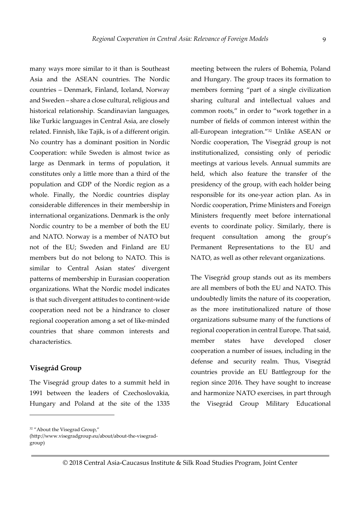many ways more similar to it than is Southeast Asia and the ASEAN countries. The Nordic countries – Denmark, Finland, Iceland, Norway and Sweden – share a close cultural, religious and historical relationship. Scandinavian languages, like Turkic languages in Central Asia, are closely related. Finnish, like Tajik, is of a different origin. No country has a dominant position in Nordic Cooperation: while Sweden is almost twice as large as Denmark in terms of population, it constitutes only a little more than a third of the population and GDP of the Nordic region as a whole. Finally, the Nordic countries display considerable differences in their membership in international organizations. Denmark is the only Nordic country to be a member of both the EU and NATO. Norway is a member of NATO but not of the EU; Sweden and Finland are EU members but do not belong to NATO. This is similar to Central Asian states' divergent patterns of membership in Eurasian cooperation organizations. What the Nordic model indicates is that such divergent attitudes to continent-wide cooperation need not be a hindrance to closer regional cooperation among a set of like-minded countries that share common interests and characteristics.

### **Visegrád Group**

<u>.</u>

The Visegrád group dates to a summit held in 1991 between the leaders of Czechoslovakia, Hungary and Poland at the site of the 1335 meeting between the rulers of Bohemia, Poland and Hungary. The group traces its formation to members forming "part of a single civilization sharing cultural and intellectual values and common roots," in order to "work together in a number of fields of common interest within the all-European integration."32 Unlike ASEAN or Nordic cooperation, The Visegrád group is not institutionalized, consisting only of periodic meetings at various levels. Annual summits are held, which also feature the transfer of the presidency of the group, with each holder being responsible for its one-year action plan. As in Nordic cooperation, Prime Ministers and Foreign Ministers frequently meet before international events to coordinate policy. Similarly, there is frequent consultation among the group's Permanent Representations to the EU and NATO, as well as other relevant organizations.

The Visegrád group stands out as its members are all members of both the EU and NATO. This undoubtedly limits the nature of its cooperation, as the more institutionalized nature of those organizations subsume many of the functions of regional cooperation in central Europe. That said, member states have developed closer cooperation a number of issues, including in the defense and security realm. Thus, Visegrád countries provide an EU Battlegroup for the region since 2016. They have sought to increase and harmonize NATO exercises, in part through the Visegrád Group Military Educational

<sup>32</sup> "About the Visegrad Group,"

<sup>(</sup>http://www.visegradgroup.eu/about/about-the-visegradgroup)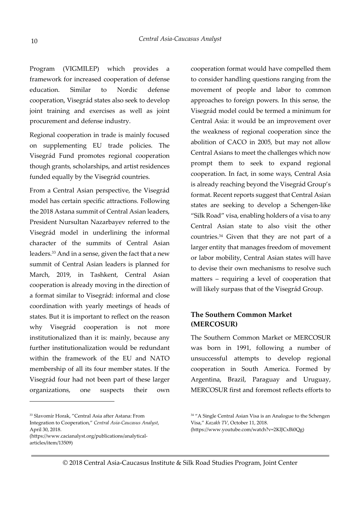Program (VIGMILEP) which provides a framework for increased cooperation of defense education. Similar to Nordic defense cooperation, Visegrád states also seek to develop joint training and exercises as well as joint procurement and defense industry.

Regional cooperation in trade is mainly focused on supplementing EU trade policies. The Visegrád Fund promotes regional cooperation though grants, scholarships, and artist residences funded equally by the Visegrád countries.

From a Central Asian perspective, the Visegrád model has certain specific attractions. Following the 2018 Astana summit of Central Asian leaders, President Nursultan Nazarbayev referred to the Visegrád model in underlining the informal character of the summits of Central Asian leaders.33 And in a sense, given the fact that a new summit of Central Asian leaders is planned for March, 2019, in Tashkent, Central Asian cooperation is already moving in the direction of a format similar to Visegrád: informal and close coordination with yearly meetings of heads of states. But it is important to reflect on the reason why Visegrád cooperation is not more institutionalized than it is: mainly, because any further institutionalization would be redundant within the framework of the EU and NATO membership of all its four member states. If the Visegrád four had not been part of these larger organizations, one suspects their own

<u>.</u>

cooperation format would have compelled them to consider handling questions ranging from the movement of people and labor to common approaches to foreign powers. In this sense, the Visegrád model could be termed a minimum for Central Asia: it would be an improvement over the weakness of regional cooperation since the abolition of CACO in 2005, but may not allow Central Asians to meet the challenges which now prompt them to seek to expand regional cooperation. In fact, in some ways, Central Asia is already reaching beyond the Visegrád Group's format. Recent reports suggest that Central Asian states are seeking to develop a Schengen-like "Silk Road" visa, enabling holders of a visa to any Central Asian state to also visit the other countries.34 Given that they are not part of a larger entity that manages freedom of movement or labor mobility, Central Asian states will have to devise their own mechanisms to resolve such matters – requiring a level of cooperation that will likely surpass that of the Visegrád Group.

# **The Southern Common Market (MERCOSUR)**

The Southern Common Market or MERCOSUR was born in 1991, following a number of unsuccessful attempts to develop regional cooperation in South America. Formed by Argentina, Brazil, Paraguay and Uruguay, MERCOSUR first and foremost reflects efforts to

© 2018 Central Asia-Caucasus Institute & Silk Road Studies Program, Joint Center

<sup>33</sup> Slavomír Horak, "Central Asia after Astana: From Integration to Cooperation," *Central Asia-Caucasus Analyst*, April 30, 2018.

<sup>(</sup>https://www.cacianalyst.org/publications/analyticalarticles/item/13509)

<sup>&</sup>lt;sup>34</sup> "A Single Central Asian Visa is an Analogue to the Schengen Visa," *Kazakh TV*, October 11, 2018.

<sup>(</sup>https://www.youtube.com/watch?v=2KlJCxBi0Qg)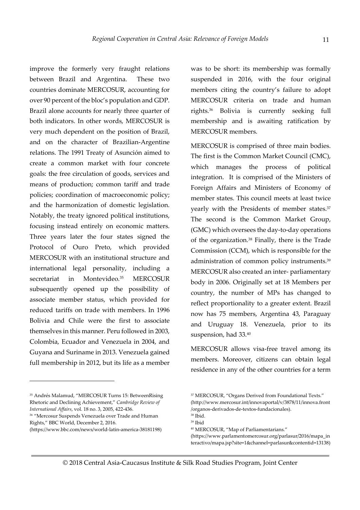improve the formerly very fraught relations between Brazil and Argentina. These two countries dominate MERCOSUR, accounting for over 90 percent of the bloc's population and GDP. Brazil alone accounts for nearly three quarter of both indicators. In other words, MERCOSUR is very much dependent on the position of Brazil, and on the character of Brazilian-Argentine relations. The 1991 Treaty of Asunción aimed to create a common market with four concrete goals: the free circulation of goods, services and means of production; common tariff and trade policies; coordination of macroeconomic policy; and the harmonization of domestic legislation. Notably, the treaty ignored political institutions, focusing instead entirely on economic matters. Three years later the four states signed the Protocol of Ouro Preto, which provided MERCOSUR with an institutional structure and international legal personality, including a secretariat in Montevideo.<sup>35</sup> MERCOSUR subsequently opened up the possibility of associate member status, which provided for reduced tariffs on trade with members. In 1996 Bolivia and Chile were the first to associate themselves in this manner. Peru followed in 2003, Colombia, Ecuador and Venezuela in 2004, and Guyana and Suriname in 2013. Venezuela gained full membership in 2012, but its life as a member

<sup>35</sup> Andrés Malamud, "MERCOSUR Turns 15: BetweenRising Rhetoric and Declining Achievement," *Cambridge Review of International Affairs*, vol. 18 no. 3, 2005, 422-436.

<u>.</u>

<sup>36</sup> "Mercosur Suspends Venezuela over Trade and Human Rights," BBC World, December 2, 2016.

was to be short: its membership was formally suspended in 2016, with the four original members citing the country's failure to adopt MERCOSUR criteria on trade and human rights.36 Bolivia is currently seeking full membership and is awaiting ratification by MERCOSUR members.

MERCOSUR is comprised of three main bodies. The first is the Common Market Council (CMC), which manages the process of political integration. It is comprised of the Ministers of Foreign Affairs and Ministers of Economy of member states. This council meets at least twice yearly with the Presidents of member states.<sup>37</sup> The second is the Common Market Group, (GMC) which oversees the day-to-day operations of the organization.38 Finally, there is the Trade Commission (CCM), which is responsible for the administration of common policy instruments.<sup>39</sup> MERCOSUR also created an inter- parliamentary body in 2006. Originally set at 18 Members per country, the number of MPs has changed to reflect proportionality to a greater extent. Brazil now has 75 members, Argentina 43, Paraguay and Uruguay 18. Venezuela, prior to its suspension, had 33.40

MERCOSUR allows visa-free travel among its members. Moreover, citizens can obtain legal residence in any of the other countries for a term

<sup>(</sup>https://www.bbc.com/news/world-latin-america-38181198)

<sup>37</sup> MERCOSUR, "Organs Derived from Foundational Texts." (http://www.mercosur.int/innovaportal/v/3878/11/innova.front

<sup>/</sup>organos-derivados-de-textos-fundacionales). <sup>38</sup> Ibid.

<sup>39</sup> Ibid

<sup>40</sup> MERCOSUR, "Map of Parliamentarians."

<sup>(</sup>https://www.parlamentomercosur.org/parlasur/2016/mapa\_in teractivo/mapa.jsp?site=1&channel=parlasur&contentid=13138)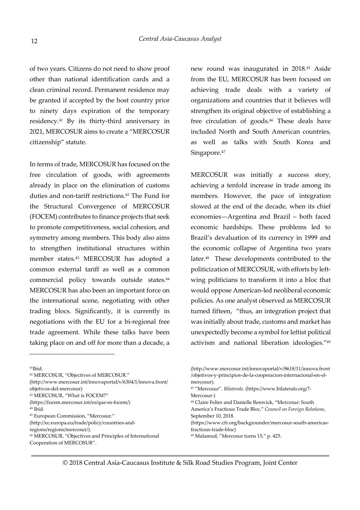of two years. Citizens do not need to show proof other than national identification cards and a clean criminal record. Permanent residence may be granted if accepted by the host country prior to ninety days expiration of the temporary residency.41 By its thirty-third anniversary in 2021, MERCOSUR aims to create a "MERCOSUR citizenship" statute.

In terms of trade, MERCOSUR has focused on the free circulation of goods, with agreements already in place on the elimination of customs duties and non-tariff restrictions.42 The Fund for the Structural Convergence of MERCOSUR (FOCEM) contributes to finance projects that seek to promote competitiveness, social cohesion, and symmetry among members. This body also aims to strengthen institutional structures within member states.43 MERCOSUR has adopted a common external tariff as well as a common commercial policy towards outside states.<sup>44</sup> MERCOSUR has also been an important force on the international scene, negotiating with other trading blocs. Significantly, it is currently in negotiations with the EU for a bi-regional free trade agreement. While these talks have been taking place on and off for more than a decade, a

from the EU, MERCOSUR has been focused on achieving trade deals with a variety of organizations and countries that it believes will strengthen its original objective of establishing a free circulation of goods.<sup>46</sup> These deals have included North and South American countries, as well as talks with South Korea and Singapore.<sup>47</sup>

new round was inaugurated in 2018.45 Aside

MERCOSUR was initially a success story, achieving a tenfold increase in trade among its members. However, the pace of integration slowed at the end of the decade, when its chief economies—Argentina and Brazil – both faced economic hardships. These problems led to Brazil's devaluation of its currency in 1999 and the economic collapse of Argentina two years later.<sup>48</sup> These developments contributed to the politicization of MERCOSUR, with efforts by leftwing politicians to transform it into a bloc that would oppose American-led neoliberal economic policies. As one analyst observed as MERCOSUR turned fifteen, "thus, an integration project that was initially about trade, customs and market has unexpectedly become a symbol for leftist political activism and national liberation ideologies."<sup>49</sup>

 $41$ Ibid.

<u>.</u>

<sup>42</sup> MERCOSUR, "Objectives of MERCOSUR."

```
(http://www.mercosur.int/innovaportal/v/6304/1/innova.front/
```
- objetivos-del-mercosur)
- <sup>43</sup> MERCOSUR, "What is FOCEM?"

(https://focem.mercosur.int/es/que-es-focem/)  $44$  Ibid.

<sup>45</sup> European Commission, "Mercosur."

<sup>46</sup> MERCOSUR, "Objectives and Principles of International Cooperation of MERCOSUR".

<sup>(</sup>http://ec.europa.eu/trade/policy/countries-and-

regions/regions/mercosur/).

<sup>(</sup>http://www.mercosur.int/innovaportal/v/8618/11/innova.front /objetivos-y-principios-de-la-cooperacion-internacional-en-elmercosur)*.* 

<sup>47</sup> "Mercosur". *Bilaterals.* (https://www.bilaterals.org/?- Mercosur-)

<sup>48</sup> Claire Felter and Danielle Renwick, "Mercosur: South

America's Fractious Trade Bloc," *Council on Foreign Relations*, September 10, 2018.

<sup>(</sup>https://www.cfr.org/backgrounder/mercosur-south-americasfractious-trade-bloc)

<sup>49</sup> Malamud, "Mercosur turns 15," p. 425.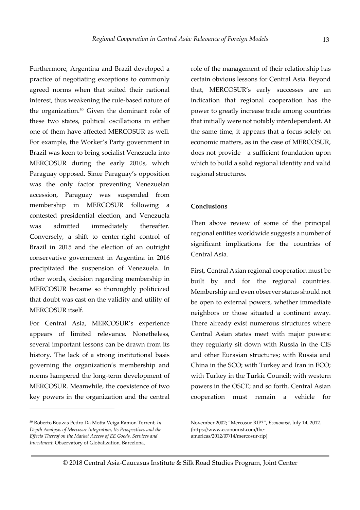Furthermore, Argentina and Brazil developed a practice of negotiating exceptions to commonly agreed norms when that suited their national interest, thus weakening the rule-based nature of the organization.<sup>50</sup> Given the dominant role of these two states, political oscillations in either one of them have affected MERCOSUR as well. For example, the Worker's Party government in Brazil was keen to bring socialist Venezuela into MERCOSUR during the early 2010s, which Paraguay opposed. Since Paraguay's opposition was the only factor preventing Venezuelan accession, Paraguay was suspended from membership in MERCOSUR following a contested presidential election, and Venezuela was admitted immediately thereafter. Conversely, a shift to center-right control of Brazil in 2015 and the election of an outright conservative government in Argentina in 2016 precipitated the suspension of Venezuela. In other words, decision regarding membership in MERCOSUR became so thoroughly politicized that doubt was cast on the validity and utility of MERCOSUR itself.

For Central Asia, MERCOSUR's experience appears of limited relevance. Nonetheless, several important lessons can be drawn from its history. The lack of a strong institutional basis governing the organization's membership and norms hampered the long-term development of MERCOSUR. Meanwhile, the coexistence of two key powers in the organization and the central

<u>.</u>

role of the management of their relationship has certain obvious lessons for Central Asia. Beyond that, MERCOSUR's early successes are an indication that regional cooperation has the power to greatly increase trade among countries that initially were not notably interdependent. At the same time, it appears that a focus solely on economic matters, as in the case of MERCOSUR, does not provide a sufficient foundation upon which to build a solid regional identity and valid regional structures.

#### **Conclusions**

Then above review of some of the principal regional entities worldwide suggests a number of significant implications for the countries of Central Asia.

First, Central Asian regional cooperation must be built by and for the regional countries. Membership and even observer status should not be open to external powers, whether immediate neighbors or those situated a continent away. There already exist numerous structures where Central Asian states meet with major powers: they regularly sit down with Russia in the CIS and other Eurasian structures; with Russia and China in the SCO; with Turkey and Iran in ECO; with Turkey in the Turkic Council; with western powers in the OSCE; and so forth. Central Asian cooperation must remain a vehicle for

<sup>50</sup> Roberto Bouzas Pedro Da Motta Veiga Ramon Torrent, *In-Depth Analysis of Mercosur Integration, Its Prospectives and the Effects Thereof on the Market Access of EE Goods, Services and Investment*, Observatory of Globalization, Barcelona,

November 2002; "Mercosur RIP?", *Economist*, July 14, 2012. (https://www.economist.com/theamericas/2012/07/14/mercosur-rip)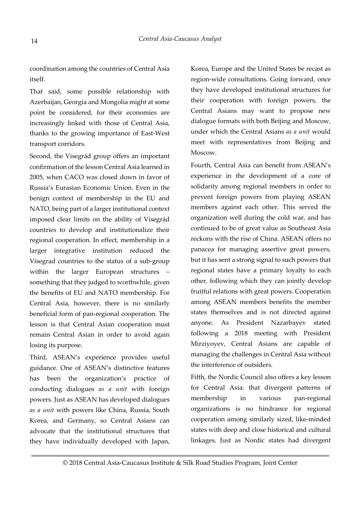coordination among the countries of Central Asia itself.

That said, some possible relationship with Azerbaijan, Georgia and Mongolia might at some point be considered, for their economies are increasingly linked with those of Central Asia, thanks to the growing importance of East-West transport corridors.

Second, the Visegrád group offers an important confirmation of the lesson Central Asia learned in 2005, when CACO was closed down in favor of Russia's Eurasian Economic Union. Even in the benign context of membership in the EU and NATO, being part of a larger institutional context imposed clear limits on the ability of Visegrád countries to develop and institutionalize their regional cooperation. In effect, membership in a larger integrative institution reduced the Visegrad countries to the status of a sub-group within the larger European structures – something that they judged to worthwhile, given the benefits of EU and NATO membership. For Central Asia, however, there is no similarly beneficial form of pan-regional cooperation. The lesson is that Central Asian cooperation must remain Central Asian in order to avoid again losing its purpose.

Third, ASEAN's experience provides useful guidance. One of ASEAN's distinctive features has been the organization's practice of conducting dialogues *as a unit* with foreign powers. Just as ASEAN has developed dialogues *as a unit* with powers like China, Russia, South Korea, and Germany, so Central Asians can advocate that the institutional structures that they have individually developed with Japan,

Korea, Europe and the United States be recast as region-wide consultations. Going forward, once they have developed institutional structures for their cooperation with foreign powers, the Central Asians may want to propose new dialogue formats with both Beijing and Moscow, under which the Central Asians *as a unit* would meet with representatives from Beijing and Moscow.

Fourth, Central Asia can benefit from ASEAN's experience in the development of a core of solidarity among regional members in order to prevent foreign powers from playing ASEAN members against each other. This served the organization well during the cold war, and has continued to be of great value as Southeast Asia reckons with the rise of China. ASEAN offers no panacea for managing assertive great powers, but it has sent a strong signal to such powers that regional states have a primary loyalty to each other, following which they can jointly develop fruitful relations with great powers. Cooperation among ASEAN members benefits the member states themselves and is not directed against anyone. As President Nazarbayev stated following a 2018 meeting with President Mirziyoyev, Central Asians are capable of managing the challenges in Central Asia without the interference of outsiders.

Fifth, the Nordic Council also offers a key lesson for Central Asia: that divergent patterns of membership in various pan-regional organizations is no hindrance for regional cooperation among similarly sized, like-minded states with deep and close historical and cultural linkages. Just as Nordic states had divergent